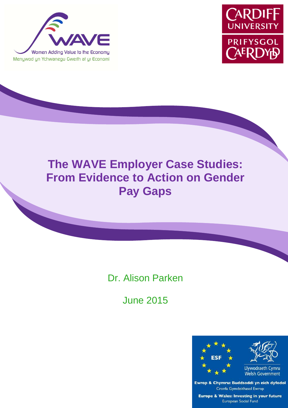



# **The WAVE Employer Case Studies: From Evidence to Action on Gender Pay Gaps**

ׇ֦֦֘֡֡֡֡

## Dr. Alison Parken

June 2015



Ewrop & Chymru: Buddsoddi yn eich dyfodol Cronfa Gymdeithasol Ewrop **Europe & Wales: Investing in your future European Social Fund**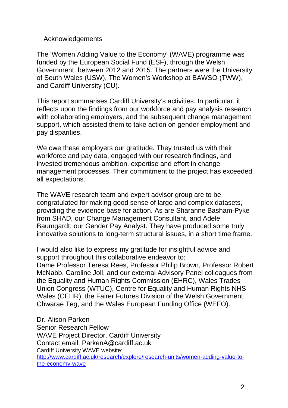Acknowledgements

The 'Women Adding Value to the Economy' (WAVE) programme was funded by the European Social Fund (ESF), through the Welsh Government, between 2012 and 2015. The partners were the University of South Wales (USW), The Women's Workshop at BAWSO (TWW), and Cardiff University (CU).

This report summarises Cardiff University's activities. In particular, it reflects upon the findings from our workforce and pay analysis research with collaborating employers, and the subsequent change management support, which assisted them to take action on gender employment and pay disparities.

We owe these employers our gratitude. They trusted us with their workforce and pay data, engaged with our research findings, and invested tremendous ambition, expertise and effort in change management processes. Their commitment to the project has exceeded all expectations.

The WAVE research team and expert advisor group are to be congratulated for making good sense of large and complex datasets, providing the evidence base for action. As are Sharanne Basham-Pyke from SHAD, our Change Management Consultant, and Adele Baumgardt, our Gender Pay Analyst. They have produced some truly innovative solutions to long-term structural issues, in a short time frame.

I would also like to express my gratitude for insightful advice and support throughout this collaborative endeavor to:

Dame Professor Teresa Rees, Professor Philip Brown, Professor Robert McNabb, Caroline Joll, and our external Advisory Panel colleagues from the Equality and Human Rights Commission (EHRC), Wales Trades Union Congress (WTUC), Centre for Equality and Human Rights NHS Wales (CEHR), the Fairer Futures Division of the Welsh Government, Chwarae Teg, and the Wales European Funding Office (WEFO).

Dr. Alison Parken Senior Research Fellow WAVE Project Director, Cardiff University Contact email: ParkenA@cardiff.ac.uk Cardiff University WAVE website: http://www.cardiff.ac.uk/research/explore/research-units/women-adding-value-tothe-economy-wave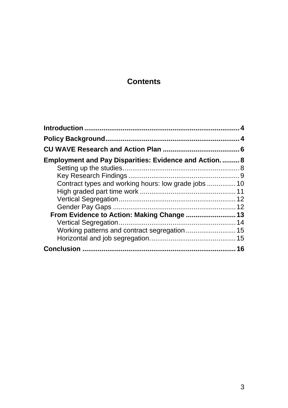## **Contents**

| <b>Employment and Pay Disparities: Evidence and Action 8</b> |    |
|--------------------------------------------------------------|----|
|                                                              |    |
|                                                              |    |
|                                                              |    |
|                                                              |    |
|                                                              |    |
|                                                              |    |
| From Evidence to Action: Making Change  13                   |    |
|                                                              |    |
|                                                              |    |
|                                                              |    |
|                                                              | 16 |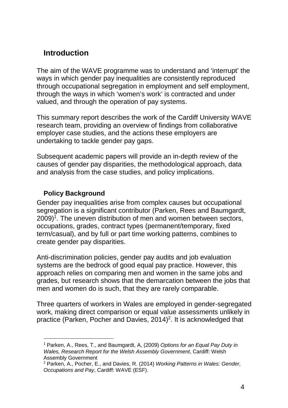## **Introduction**

The aim of the WAVE programme was to understand and 'interrupt' the ways in which gender pay inequalities are consistently reproduced through occupational segregation in employment and self employment, through the ways in which 'women's work' is contracted and under valued, and through the operation of pay systems.

This summary report describes the work of the Cardiff University WAVE research team, providing an overview of findings from collaborative employer case studies, and the actions these employers are undertaking to tackle gender pay gaps.

Subsequent academic papers will provide an in-depth review of the causes of gender pay disparities, the methodological approach, data and analysis from the case studies, and policy implications.

#### **Policy Background**

l

Gender pay inequalities arise from complex causes but occupational segregation is a significant contributor (Parken, Rees and Baumgardt,  $2009$ <sup>1</sup>. The uneven distribution of men and women between sectors, occupations, grades, contract types (permanent/temporary, fixed term/casual), and by full or part time working patterns, combines to create gender pay disparities.

Anti-discrimination policies, gender pay audits and job evaluation systems are the bedrock of good equal pay practice. However, this approach relies on comparing men and women in the same jobs and grades, but research shows that the demarcation between the jobs that men and women do is such, that they are rarely comparable.

Three quarters of workers in Wales are employed in gender-segregated work, making direct comparison or equal value assessments unlikely in practice (Parken, Pocher and Davies,  $2014)^2$ . It is acknowledged that

<sup>&</sup>lt;sup>1</sup> Parken, A., Rees, T., and Baumgardt, A. (2009) Options for an Equal Pay Duty in Wales, Research Report for the Welsh Assembly Government, Cardiff: Welsh Assembly Government

<sup>&</sup>lt;sup>2</sup> Parken, A., Pocher, E., and Davies, R. (2014) Working Patterns in Wales: Gender, Occupations and Pay, Cardiff: WAVE (ESF).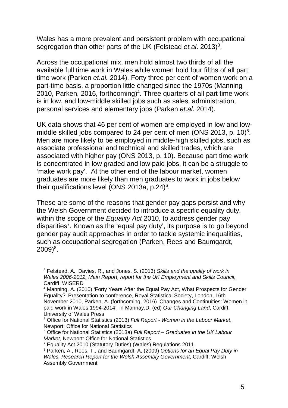Wales has a more prevalent and persistent problem with occupational segregation than other parts of the UK (Felstead et.al. 2013)<sup>3</sup>.

Across the occupational mix, men hold almost two thirds of all the available full time work in Wales while women hold four fifths of all part time work (Parken et.al. 2014). Forty three per cent of women work on a part-time basis, a proportion little changed since the 1970s (Manning 2010, Parken, 2016, forthcoming)<sup>4</sup>. Three quarters of all part time work is in low, and low-middle skilled jobs such as sales, administration, personal services and elementary jobs (Parken et.al. 2014).

UK data shows that 46 per cent of women are employed in low and lowmiddle skilled jobs compared to 24 per cent of men (ONS 2013, p. 10) $5$ . Men are more likely to be employed in middle-high skilled jobs, such as associate professional and technical and skilled trades, which are associated with higher pay (ONS 2013, p. 10). Because part time work is concentrated in low graded and low paid jobs, it can be a struggle to 'make work pay'. At the other end of the labour market, women graduates are more likely than men graduates to work in jobs below their qualifications level (ONS 2013a, p.24) $6$ .

These are some of the reasons that gender pay gaps persist and why the Welsh Government decided to introduce a specific equality duty, within the scope of the Equality Act 2010, to address gender pay disparities<sup>7</sup>. Known as the 'equal pay duty', its purpose is to go beyond gender pay audit approaches in order to tackle systemic inequalities, such as occupational segregation (Parken, Rees and Baumgardt,  $2009)^{8}.$ 

l

<sup>&</sup>lt;sup>3</sup> Felstead, A., Davies, R., and Jones, S. (2013) Skills and the quality of work in Wales 2006-2012, Main Report, report for the UK Employment and Skills Council, Cardiff: WISERD

<sup>&</sup>lt;sup>4</sup> Manning, A. (2010) 'Forty Years After the Equal Pay Act, What Prospects for Gender Equality?' Presentation to conference, Royal Statistical Society, London, 16th November 2010, Parken, A. (forthcoming, 2016) 'Changes and Continuities: Women in paid work in Wales 1994-2014', in Mannay.D. (ed) Our Changing Land, Cardiff: University of Wales Press

<sup>&</sup>lt;sup>5</sup> Office for National Statistics (2013) Full Report - Women in the Labour Market, Newport: Office for National Statistics

<sup>&</sup>lt;sup>6</sup> Office for National Statistics (2013a) Full Report – Graduates in the UK Labour Market, Newport: Office for National Statistics

<sup>7</sup> Equality Act 2010 (Statutory Duties) (Wales) Regulations 2011

<sup>&</sup>lt;sup>8</sup> Parken, A., Rees, T., and Baumgardt, A, (2009) Options for an Equal Pay Duty in Wales, Research Report for the Welsh Assembly Government, Cardiff: Welsh Assembly Government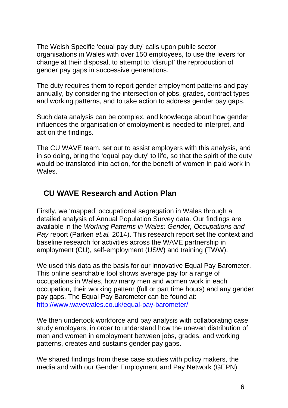The Welsh Specific 'equal pay duty' calls upon public sector organisations in Wales with over 150 employees, to use the levers for change at their disposal, to attempt to 'disrupt' the reproduction of gender pay gaps in successive generations.

The duty requires them to report gender employment patterns and pay annually, by considering the intersection of jobs, grades, contract types and working patterns, and to take action to address gender pay gaps.

Such data analysis can be complex, and knowledge about how gender influences the organisation of employment is needed to interpret, and act on the findings.

The CU WAVE team, set out to assist employers with this analysis, and in so doing, bring the 'equal pay duty' to life, so that the spirit of the duty would be translated into action, for the benefit of women in paid work in Wales.

## **CU WAVE Research and Action Plan**

Firstly, we 'mapped' occupational segregation in Wales through a detailed analysis of Annual Population Survey data. Our findings are available in the Working Patterns in Wales: Gender, Occupations and Pay report (Parken et.al. 2014). This research report set the context and baseline research for activities across the WAVE partnership in employment (CU), self-employment (USW) and training (TWW).

We used this data as the basis for our innovative Equal Pay Barometer. This online searchable tool shows average pay for a range of occupations in Wales, how many men and women work in each occupation, their working pattern (full or part time hours) and any gender pay gaps. The Equal Pay Barometer can be found at: http://www.wavewales.co.uk/equal-pay-barometer/

We then undertook workforce and pay analysis with collaborating case study employers, in order to understand how the uneven distribution of men and women in employment between jobs, grades, and working patterns, creates and sustains gender pay gaps.

We shared findings from these case studies with policy makers, the media and with our Gender Employment and Pay Network (GEPN).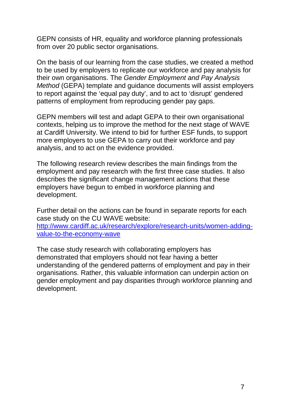GEPN consists of HR, equality and workforce planning professionals from over 20 public sector organisations.

On the basis of our learning from the case studies, we created a method to be used by employers to replicate our workforce and pay analysis for their own organisations. The Gender Employment and Pay Analysis Method (GEPA) template and guidance documents will assist employers to report against the 'equal pay duty', and to act to 'disrupt' gendered patterns of employment from reproducing gender pay gaps.

GEPN members will test and adapt GEPA to their own organisational contexts, helping us to improve the method for the next stage of WAVE at Cardiff University. We intend to bid for further ESF funds, to support more employers to use GEPA to carry out their workforce and pay analysis, and to act on the evidence provided.

The following research review describes the main findings from the employment and pay research with the first three case studies. It also describes the significant change management actions that these employers have begun to embed in workforce planning and development.

Further detail on the actions can be found in separate reports for each case study on the CU WAVE website: http://www.cardiff.ac.uk/research/explore/research-units/women-addingvalue-to-the-economy-wave

The case study research with collaborating employers has demonstrated that employers should not fear having a better understanding of the gendered patterns of employment and pay in their organisations. Rather, this valuable information can underpin action on gender employment and pay disparities through workforce planning and development.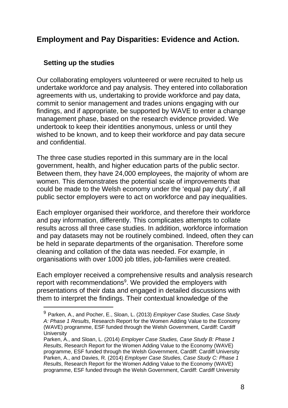## **Employment and Pay Disparities: Evidence and Action.**

#### **Setting up the studies**

 $\overline{a}$ 

Our collaborating employers volunteered or were recruited to help us undertake workforce and pay analysis. They entered into collaboration agreements with us, undertaking to provide workforce and pay data, commit to senior management and trades unions engaging with our findings, and if appropriate, be supported by WAVE to enter a change management phase, based on the research evidence provided. We undertook to keep their identities anonymous, unless or until they wished to be known, and to keep their workforce and pay data secure and confidential.

The three case studies reported in this summary are in the local government, health, and higher education parts of the public sector. Between them, they have 24,000 employees, the majority of whom are women. This demonstrates the potential scale of improvements that could be made to the Welsh economy under the 'equal pay duty', if all public sector employers were to act on workforce and pay inequalities.

Each employer organised their workforce, and therefore their workforce and pay information, differently. This complicates attempts to collate results across all three case studies. In addition, workforce information and pay datasets may not be routinely combined. Indeed, often they can be held in separate departments of the organisation. Therefore some cleaning and collation of the data was needed. For example, in organisations with over 1000 job titles, job-families were created.

Each employer received a comprehensive results and analysis research report with recommendations<sup>9</sup>. We provided the employers with presentations of their data and engaged in detailed discussions with them to interpret the findings. Their contextual knowledge of the

 $9$  Parken, A., and Pocher, E., Sloan, L. (2013) Employer Case Studies, Case Study A: Phase 1 Results, Research Report for the Women Adding Value to the Economy (WAVE) programme, ESF funded through the Welsh Government, Cardiff: Cardiff **University** 

Parken, A., and Sloan, L. (2014) Employer Case Studies, Case Study B: Phase 1 Results, Research Report for the Women Adding Value to the Economy (WAVE) programme, ESF funded through the Welsh Government, Cardiff: Cardiff University Parken, A., and Davies, R. (2014) Employer Case Studies, Case Study C: Phase 1 Results, Research Report for the Women Adding Value to the Economy (WAVE) programme, ESF funded through the Welsh Government, Cardiff: Cardiff University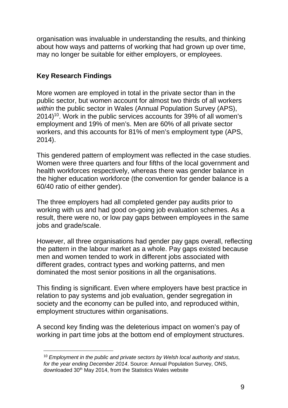organisation was invaluable in understanding the results, and thinking about how ways and patterns of working that had grown up over time, may no longer be suitable for either employers, or employees.

#### **Key Research Findings**

 $\overline{a}$ 

More women are employed in total in the private sector than in the public sector, but women account for almost two thirds of all workers within the public sector in Wales (Annual Population Survey (APS), 2014)<sup>10</sup>. Work in the public services accounts for 39% of all women's employment and 19% of men's. Men are 60% of all private sector workers, and this accounts for 81% of men's employment type (APS, 2014).

This gendered pattern of employment was reflected in the case studies. Women were three quarters and four fifths of the local government and health workforces respectively, whereas there was gender balance in the higher education workforce (the convention for gender balance is a 60/40 ratio of either gender).

The three employers had all completed gender pay audits prior to working with us and had good on-going job evaluation schemes. As a result, there were no, or low pay gaps between employees in the same jobs and grade/scale.

However, all three organisations had gender pay gaps overall, reflecting the pattern in the labour market as a whole. Pay gaps existed because men and women tended to work in different jobs associated with different grades, contract types and working patterns, and men dominated the most senior positions in all the organisations.

This finding is significant. Even where employers have best practice in relation to pay systems and job evaluation, gender segregation in society and the economy can be pulled into, and reproduced within, employment structures within organisations.

A second key finding was the deleterious impact on women's pay of working in part time jobs at the bottom end of employment structures.

 $10$  Employment in the public and private sectors by Welsh local authority and status, for the year ending December 2014. Source: Annual Population Survey, ONS, downloaded 30<sup>th</sup> May 2014, from the Statistics Wales website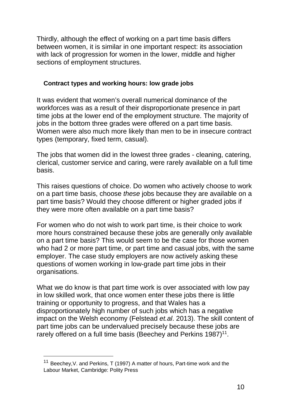Thirdly, although the effect of working on a part time basis differs between women, it is similar in one important respect: its association with lack of progression for women in the lower, middle and higher sections of employment structures.

#### **Contract types and working hours: low grade jobs**

It was evident that women's overall numerical dominance of the workforces was as a result of their disproportionate presence in part time jobs at the lower end of the employment structure. The majority of jobs in the bottom three grades were offered on a part time basis. Women were also much more likely than men to be in insecure contract types (temporary, fixed term, casual).

The jobs that women did in the lowest three grades - cleaning, catering, clerical, customer service and caring, were rarely available on a full time basis.

This raises questions of choice. Do women who actively choose to work on a part time basis, choose these jobs because they are available on a part time basis? Would they choose different or higher graded jobs if they were more often available on a part time basis?

For women who do not wish to work part time, is their choice to work more hours constrained because these jobs are generally only available on a part time basis? This would seem to be the case for those women who had 2 or more part time, or part time and casual jobs, with the same employer. The case study employers are now actively asking these questions of women working in low-grade part time jobs in their organisations.

What we do know is that part time work is over associated with low pay in low skilled work, that once women enter these jobs there is little training or opportunity to progress, and that Wales has a disproportionately high number of such jobs which has a negative impact on the Welsh economy (Felstead et.al. 2013). The skill content of part time jobs can be undervalued precisely because these jobs are rarely offered on a full time basis (Beechey and Perkins  $1987)^{11}$ .

 $\overline{a}$ 

<sup>11</sup> Beechey,V. and Perkins, T (1997) A matter of hours, Part-time work and the Labour Market, Cambridge: Polity Press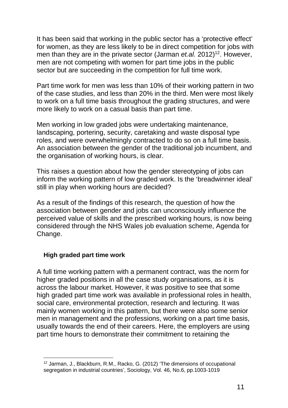It has been said that working in the public sector has a 'protective effect' for women, as they are less likely to be in direct competition for jobs with men than they are in the private sector (Jarman et.al. 2012)<sup>12</sup>. However, men are not competing with women for part time jobs in the public sector but are succeeding in the competition for full time work.

Part time work for men was less than 10% of their working pattern in two of the case studies, and less than 20% in the third. Men were most likely to work on a full time basis throughout the grading structures, and were more likely to work on a casual basis than part time.

Men working in low graded jobs were undertaking maintenance, landscaping, portering, security, caretaking and waste disposal type roles, and were overwhelmingly contracted to do so on a full time basis. An association between the gender of the traditional job incumbent, and the organisation of working hours, is clear.

This raises a question about how the gender stereotyping of jobs can inform the working pattern of low graded work. Is the 'breadwinner ideal' still in play when working hours are decided?

As a result of the findings of this research, the question of how the association between gender and jobs can unconsciously influence the perceived value of skills and the prescribed working hours, is now being considered through the NHS Wales job evaluation scheme, Agenda for Change.

#### **High graded part time work**

A full time working pattern with a permanent contract, was the norm for higher graded positions in all the case study organisations, as it is across the labour market. However, it was positive to see that some high graded part time work was available in professional roles in health, social care, environmental protection, research and lecturing. It was mainly women working in this pattern, but there were also some senior men in management and the professions, working on a part time basis, usually towards the end of their careers. Here, the employers are using part time hours to demonstrate their commitment to retaining the

 <sup>12</sup> Jarman, J., Blackburn, R.M., Racko, G. (2012) 'The dimensions of occupational segregation in industrial countries', Sociology, Vol. 46, No.6, pp.1003-1019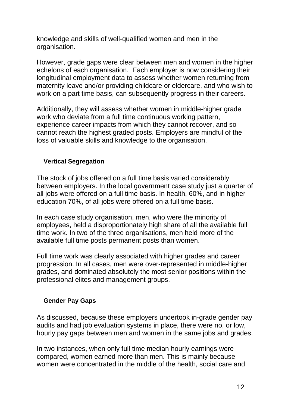knowledge and skills of well-qualified women and men in the organisation.

However, grade gaps were clear between men and women in the higher echelons of each organisation. Each employer is now considering their longitudinal employment data to assess whether women returning from maternity leave and/or providing childcare or eldercare, and who wish to work on a part time basis, can subsequently progress in their careers.

Additionally, they will assess whether women in middle-higher grade work who deviate from a full time continuous working pattern, experience career impacts from which they cannot recover, and so cannot reach the highest graded posts. Employers are mindful of the loss of valuable skills and knowledge to the organisation.

#### **Vertical Segregation**

The stock of jobs offered on a full time basis varied considerably between employers. In the local government case study just a quarter of all jobs were offered on a full time basis. In health, 60%, and in higher education 70%, of all jobs were offered on a full time basis.

In each case study organisation, men, who were the minority of employees, held a disproportionately high share of all the available full time work. In two of the three organisations, men held more of the available full time posts permanent posts than women.

Full time work was clearly associated with higher grades and career progression. In all cases, men were over-represented in middle-higher grades, and dominated absolutely the most senior positions within the professional elites and management groups.

#### **Gender Pay Gaps**

As discussed, because these employers undertook in-grade gender pay audits and had job evaluation systems in place, there were no, or low, hourly pay gaps between men and women in the same jobs and grades.

In two instances, when only full time median hourly earnings were compared, women earned more than men. This is mainly because women were concentrated in the middle of the health, social care and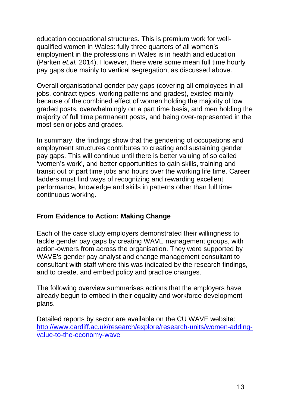education occupational structures. This is premium work for wellqualified women in Wales: fully three quarters of all women's employment in the professions in Wales is in health and education (Parken et.al. 2014). However, there were some mean full time hourly pay gaps due mainly to vertical segregation, as discussed above.

Overall organisational gender pay gaps (covering all employees in all jobs, contract types, working patterns and grades), existed mainly because of the combined effect of women holding the majority of low graded posts, overwhelmingly on a part time basis, and men holding the majority of full time permanent posts, and being over-represented in the most senior jobs and grades.

In summary, the findings show that the gendering of occupations and employment structures contributes to creating and sustaining gender pay gaps. This will continue until there is better valuing of so called 'women's work', and better opportunities to gain skills, training and transit out of part time jobs and hours over the working life time. Career ladders must find ways of recognizing and rewarding excellent performance, knowledge and skills in patterns other than full time continuous working.

#### **From Evidence to Action: Making Change**

Each of the case study employers demonstrated their willingness to tackle gender pay gaps by creating WAVE management groups, with action-owners from across the organisation. They were supported by WAVE's gender pay analyst and change management consultant to consultant with staff where this was indicated by the research findings, and to create, and embed policy and practice changes.

The following overview summarises actions that the employers have already begun to embed in their equality and workforce development plans.

Detailed reports by sector are available on the CU WAVE website: http://www.cardiff.ac.uk/research/explore/research-units/women-addingvalue-to-the-economy-wave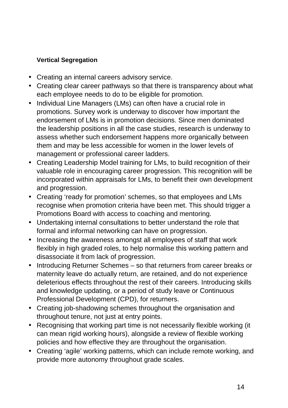#### **Vertical Segregation**

- Creating an internal careers advisory service.
- Creating clear career pathways so that there is transparency about what each employee needs to do to be eligible for promotion.
- Individual Line Managers (LMs) can often have a crucial role in promotions. Survey work is underway to discover how important the endorsement of LMs is in promotion decisions. Since men dominated the leadership positions in all the case studies, research is underway to assess whether such endorsement happens more organically between them and may be less accessible for women in the lower levels of management or professional career ladders.
- Creating Leadership Model training for LMs, to build recognition of their valuable role in encouraging career progression. This recognition will be incorporated within appraisals for LMs, to benefit their own development and progression.
- Creating 'ready for promotion' schemes, so that employees and LMs recognise when promotion criteria have been met. This should trigger a Promotions Board with access to coaching and mentoring.
- Undertaking internal consultations to better understand the role that formal and informal networking can have on progression.
- Increasing the awareness amongst all employees of staff that work flexibly in high graded roles, to help normalise this working pattern and disassociate it from lack of progression.
- Introducing Returner Schemes so that returners from career breaks or maternity leave do actually return, are retained, and do not experience deleterious effects throughout the rest of their careers. Introducing skills and knowledge updating, or a period of study leave or Continuous Professional Development (CPD), for returners.
- Creating job-shadowing schemes throughout the organisation and throughout tenure, not just at entry points.
- Recognising that working part time is not necessarily flexible working (it can mean rigid working hours), alongside a review of flexible working policies and how effective they are throughout the organisation.
- Creating 'agile' working patterns, which can include remote working, and provide more autonomy throughout grade scales.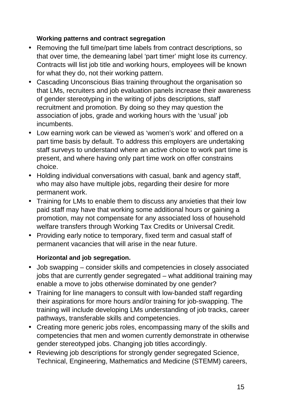#### **Working patterns and contract segregation**

- Removing the full time/part time labels from contract descriptions, so that over time, the demeaning label 'part timer' might lose its currency. Contracts will list job title and working hours, employees will be known for what they do, not their working pattern.
- Cascading Unconscious Bias training throughout the organisation so that LMs, recruiters and job evaluation panels increase their awareness of gender stereotyping in the writing of jobs descriptions, staff recruitment and promotion. By doing so they may question the association of jobs, grade and working hours with the 'usual' job incumbents.
- Low earning work can be viewed as 'women's work' and offered on a part time basis by default. To address this employers are undertaking staff surveys to understand where an active choice to work part time is present, and where having only part time work on offer constrains choice.
- Holding individual conversations with casual, bank and agency staff, who may also have multiple jobs, regarding their desire for more permanent work.
- Training for LMs to enable them to discuss any anxieties that their low paid staff may have that working some additional hours or gaining a promotion, may not compensate for any associated loss of household welfare transfers through Working Tax Credits or Universal Credit.
- Providing early notice to temporary, fixed term and casual staff of permanent vacancies that will arise in the near future.

#### **Horizontal and job segregation.**

- Job swapping consider skills and competencies in closely associated jobs that are currently gender segregated – what additional training may enable a move to jobs otherwise dominated by one gender?
- Training for line managers to consult with low-banded staff regarding their aspirations for more hours and/or training for job-swapping. The training will include developing LMs understanding of job tracks, career pathways, transferable skills and competencies.
- Creating more generic jobs roles, encompassing many of the skills and competencies that men and women currently demonstrate in otherwise gender stereotyped jobs. Changing job titles accordingly.
- Reviewing job descriptions for strongly gender segregated Science, Technical, Engineering, Mathematics and Medicine (STEMM) careers,